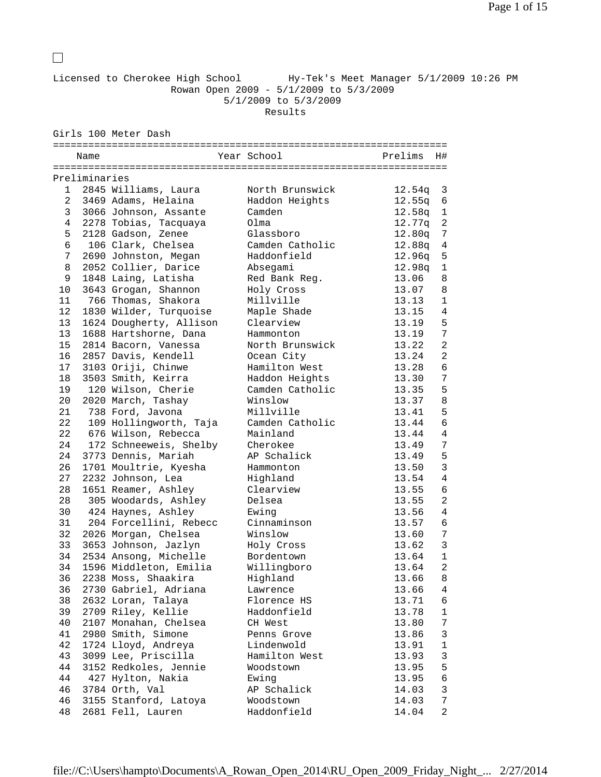Licensed to Cherokee High School Hy-Tek's Meet Manager 5/1/2009 10:26 PM Rowan Open 2009 - 5/1/2009 to 5/3/2009 5/1/2009 to 5/3/2009 Results

Girls 100 Meter Dash

|                | Name          |                         | Year School            | Prelims<br>H#            |
|----------------|---------------|-------------------------|------------------------|--------------------------|
|                | Preliminaries |                         |                        |                          |
|                | 1             | 2845 Williams, Laura    | North Brunswick        | 12.54q<br>3              |
| $\overline{a}$ |               | 3469 Adams, Helaina     | Haddon Heights         | 12.55q<br>6              |
| 3              |               | 3066 Johnson, Assante   | Camden                 | 12.58q<br>1              |
| 4              |               | 2278 Tobias, Tacquaya   | Olma                   | 12.77q<br>2              |
| 5              |               | 2128 Gadson, Zenee      | Glassboro              | 12.80q<br>7              |
| б              |               | 106 Clark, Chelsea      | Camden Catholic        | 12.88q<br>$\overline{4}$ |
| 7              |               | 2690 Johnston, Megan    | Haddonfield            | 12.96q<br>5              |
| 8              |               | 2052 Collier, Darice    | Absegami               | 12.98q<br>$\mathbf{1}$   |
| 9              |               | 1848 Laing, Latisha     |                        |                          |
|                |               |                         | Red Bank Reg.          | 13.06<br>8               |
| 10             |               | 3643 Grogan, Shannon    | Holy Cross             | 13.07<br>8               |
| 11             |               | 766 Thomas, Shakora     | Millville              | 13.13<br>$\mathbf{1}$    |
| 12             |               | 1830 Wilder, Turquoise  | Maple Shade            | 4<br>13.15               |
| 13             |               | 1624 Dougherty, Allison | Clearview              | 5<br>13.19               |
| 13             |               | 1688 Hartshorne, Dana   | Hammonton              | 7<br>13.19               |
| 15             |               | 2814 Bacorn, Vanessa    | North Brunswick        | 2<br>13.22               |
| 16             |               | 2857 Davis, Kendell     | Ocean City             | 13.24<br>$\overline{a}$  |
| 17             |               | 3103 Oriji, Chinwe      | Hamilton West          | 6<br>13.28               |
| 18             |               | 3503 Smith, Keirra      | Haddon Heights         | 7<br>13.30               |
| 19             |               | 120 Wilson, Cherie      | Camden Catholic        | 5<br>13.35               |
| 20             |               | 2020 March, Tashay      | Winslow                | 13.37<br>8               |
| 21             |               | 738 Ford, Javona        | Millville              | 5<br>13.41               |
| 22             |               | 109 Hollingworth, Taja  | Camden Catholic        | 6<br>13.44               |
| 22             |               | 676 Wilson, Rebecca     | Mainland               | $\overline{4}$<br>13.44  |
| 24             |               | 172 Schneeweis, Shelby  | Cherokee               | 7<br>13.49               |
| 24             |               | 3773 Dennis, Mariah     | AP Schalick            | 5<br>13.49               |
| 26             |               | 1701 Moultrie, Kyesha   | Hammonton              | 3<br>13.50               |
| 27             |               | 2232 Johnson, Lea       | Highland               | 13.54<br>4               |
| 28             |               | 1651 Reamer, Ashley     | Clearview              | 13.55<br>6               |
| 28             |               | 305 Woodards, Ashley    | Delsea                 | 2<br>13.55               |
| 30             |               | 424 Haynes, Ashley      | Ewing                  | 4<br>13.56               |
| 31             |               | 204 Forcellini, Rebecc  | Cinnaminson            | 6<br>13.57               |
| 32             |               | 2026 Morgan, Chelsea    | Winslow                | 13.60<br>7               |
| 33             |               | 3653 Johnson, Jazlyn    | Holy Cross             | $\mathbf{3}$<br>13.62    |
| 34             |               | 2534 Ansong, Michelle   | Bordentown             | 13.64<br>$\mathbf{1}$    |
| 34             |               | 1596 Middleton, Emilia  | Willingboro            | 2<br>13.64               |
| 36             |               | 2238 Moss, Shaakira     | Highland               | 8<br>13.66               |
| 36             |               | 2730 Gabriel, Adriana   | Lawrence               | 13.66<br>4               |
| 38             |               | 2632 Loran, Talaya      | Florence HS            | 13.71<br>6               |
| 39             |               | 2709 Riley, Kellie      | Haddonfield            | 1<br>13.78               |
| 40             |               | 2107 Monahan, Chelsea   |                        |                          |
|                |               | 2980 Smith, Simone      | CH West<br>Penns Grove | 13.80<br>7               |
| 41             |               |                         |                        | 3<br>13.86               |
| 42             |               | 1724 Lloyd, Andreya     | Lindenwold             | $\mathbf 1$<br>13.91     |
| 43             |               | 3099 Lee, Priscilla     | Hamilton West          | 3<br>13.93               |
| 44             |               | 3152 Redkoles, Jennie   | Woodstown              | 13.95<br>5               |
| 44             |               | 427 Hylton, Nakia       | Ewing                  | 13.95<br>6               |
| 46             |               | 3784 Orth, Val          | AP Schalick            | 3<br>14.03               |
| 46             |               | 3155 Stanford, Latoya   | Woodstown              | 14.03<br>7               |
| 48             |               | 2681 Fell, Lauren       | Haddonfield            | 14.04<br>2               |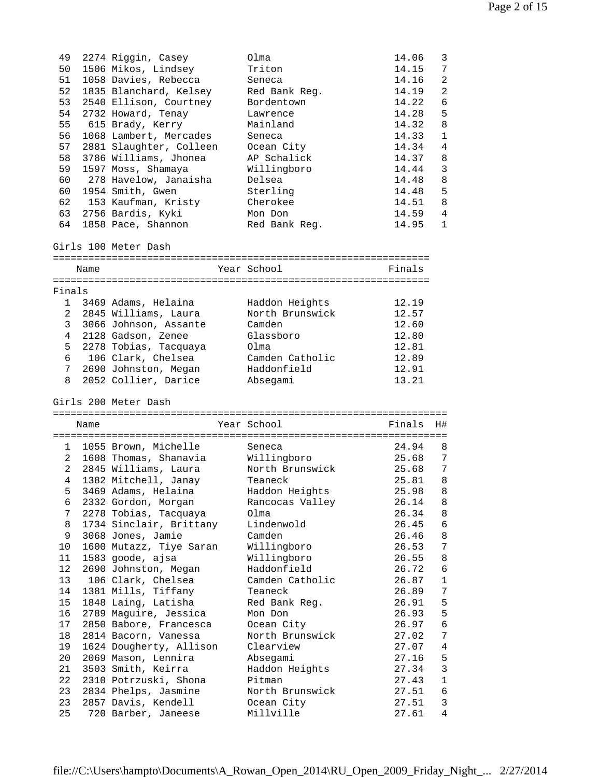| 49<br>50<br>51<br>52<br>53<br>54<br>55<br>56<br>57<br>58<br>59<br>60        |      | 2274 Riggin, Casey<br>1506 Mikos, Lindsey<br>1058 Davies, Rebecca<br>1835 Blanchard, Kelsey<br>2540 Ellison, Courtney<br>2732 Howard, Tenay<br>615 Brady, Kerry<br>1068 Lambert, Mercades<br>2881 Slaughter, Colleen<br>3786 Williams, Jhonea<br>1597 Moss, Shamaya<br>278 Havelow, Janaisha | Olma<br>Triton<br>Seneca<br>Red Bank Reg.<br>Bordentown<br>Lawrence<br>Mainland<br>Seneca<br>Ocean City<br>AP Schalick<br>Willingboro<br>Delsea | 14.06<br>14.15<br>14.16<br>14.19<br>14.22<br>14.28<br>14.32<br>14.33<br>14.34<br>14.37<br>14.44<br>14.48 | 3<br>7<br>2<br>2<br>6<br>5<br>8<br>1<br>4<br>8<br>3<br>8 |
|-----------------------------------------------------------------------------|------|----------------------------------------------------------------------------------------------------------------------------------------------------------------------------------------------------------------------------------------------------------------------------------------------|-------------------------------------------------------------------------------------------------------------------------------------------------|----------------------------------------------------------------------------------------------------------|----------------------------------------------------------|
| 60                                                                          |      | 1954 Smith, Gwen                                                                                                                                                                                                                                                                             | Sterling                                                                                                                                        | 14.48                                                                                                    | 5                                                        |
| 62                                                                          |      | 153 Kaufman, Kristy<br>63 2756 Bardis, Kyki                                                                                                                                                                                                                                                  | Cherokee                                                                                                                                        | 14.51<br>14.59                                                                                           | 8<br>4                                                   |
| 64                                                                          |      | 1858 Pace, Shannon                                                                                                                                                                                                                                                                           | Mon Don<br>Red Bank Reg.                                                                                                                        | 14.95                                                                                                    | $\mathbf{1}$                                             |
|                                                                             | Name | Girls 100 Meter Dash                                                                                                                                                                                                                                                                         | Year School                                                                                                                                     | Finals                                                                                                   |                                                          |
|                                                                             |      |                                                                                                                                                                                                                                                                                              |                                                                                                                                                 |                                                                                                          |                                                          |
| Finals<br>$\overline{a}$<br>3<br>$\overline{4}$<br>5<br>7 <sup>7</sup><br>8 |      | 1 3469 Adams, Helaina<br>2845 Williams, Laura<br>3066 Johnson, Assante<br>2128 Gadson, Zenee<br>2278 Tobias, Tacquaya<br>6 106 Clark, Chelsea<br>2690 Johnston, Megan<br>2052 Collier, Darice                                                                                                | Haddon Heights<br>North Brunswick<br>Camden<br>Glassboro<br>Olma<br>Camden Catholic<br>Haddonfield<br>Absegami                                  | 12.19<br>12.57<br>12.60<br>12.80<br>12.81<br>12.89<br>12.91<br>13.21                                     |                                                          |
|                                                                             |      |                                                                                                                                                                                                                                                                                              |                                                                                                                                                 |                                                                                                          |                                                          |
|                                                                             |      | Girls 200 Meter Dash                                                                                                                                                                                                                                                                         |                                                                                                                                                 |                                                                                                          |                                                          |
|                                                                             | Name |                                                                                                                                                                                                                                                                                              | Year School                                                                                                                                     | Finals                                                                                                   | H#                                                       |
|                                                                             |      |                                                                                                                                                                                                                                                                                              | Seneca                                                                                                                                          | 24.94                                                                                                    | 8                                                        |
|                                                                             |      | 1 1055 Brown, Michelle<br>2 1608 Thomas, Shanavia                                                                                                                                                                                                                                            | Willingboro                                                                                                                                     | 25.68                                                                                                    | 7                                                        |
| $\overline{2}$                                                              |      | 2845 Williams, Laura                                                                                                                                                                                                                                                                         | North Brunswick                                                                                                                                 | 25.68                                                                                                    | 7                                                        |
| $\overline{4}$                                                              |      | 1382 Mitchell, Janay                                                                                                                                                                                                                                                                         | Teaneck                                                                                                                                         | 25.81                                                                                                    | 8                                                        |
|                                                                             |      | 5 3469 Adams, Helaina                                                                                                                                                                                                                                                                        | Haddon Heights                                                                                                                                  | 25.98                                                                                                    | 8                                                        |
| 6<br>7                                                                      |      | 2332 Gordon, Morgan                                                                                                                                                                                                                                                                          | Rancocas Valley<br>Olma                                                                                                                         | 26.14                                                                                                    | 8                                                        |
| 8                                                                           |      | 2278 Tobias, Tacquaya<br>1734 Sinclair, Brittany                                                                                                                                                                                                                                             | Lindenwold                                                                                                                                      | 26.34<br>26.45                                                                                           | 8<br>6                                                   |
| 9                                                                           |      | 3068 Jones, Jamie                                                                                                                                                                                                                                                                            | Camden                                                                                                                                          | 26.46                                                                                                    | 8                                                        |
| 10                                                                          |      | 1600 Mutazz, Tiye Saran                                                                                                                                                                                                                                                                      | Willingboro                                                                                                                                     | 26.53                                                                                                    | 7                                                        |
| 11                                                                          |      | 1583 goode, ajsa                                                                                                                                                                                                                                                                             | Willingboro                                                                                                                                     | 26.55                                                                                                    | 8                                                        |
| 12                                                                          |      | 2690 Johnston, Megan                                                                                                                                                                                                                                                                         | Haddonfield                                                                                                                                     | 26.72                                                                                                    | 6                                                        |
| 13                                                                          |      | 106 Clark, Chelsea                                                                                                                                                                                                                                                                           | Camden Catholic                                                                                                                                 | 26.87                                                                                                    | $\mathbf 1$                                              |
| 14<br>15                                                                    |      | 1381 Mills, Tiffany<br>1848 Laing, Latisha                                                                                                                                                                                                                                                   | Teaneck<br>Red Bank Reg.                                                                                                                        | 26.89<br>26.91                                                                                           | 7<br>5                                                   |
| 16                                                                          |      | 2789 Maguire, Jessica                                                                                                                                                                                                                                                                        | Mon Don                                                                                                                                         | 26.93                                                                                                    | 5                                                        |
| 17                                                                          |      | 2850 Babore, Francesca                                                                                                                                                                                                                                                                       | Ocean City                                                                                                                                      | 26.97                                                                                                    | 6                                                        |
| 18                                                                          |      | 2814 Bacorn, Vanessa                                                                                                                                                                                                                                                                         | North Brunswick                                                                                                                                 | 27.02                                                                                                    | 7                                                        |
| 19                                                                          |      | 1624 Dougherty, Allison                                                                                                                                                                                                                                                                      | Clearview                                                                                                                                       | 27.07                                                                                                    | 4                                                        |
| 20                                                                          |      | 2069 Mason, Lennira                                                                                                                                                                                                                                                                          | Absegami                                                                                                                                        | 27.16                                                                                                    | 5                                                        |
| 21<br>22                                                                    |      | 3503 Smith, Keirra<br>2310 Potrzuski, Shona                                                                                                                                                                                                                                                  | Haddon Heights<br>Pitman                                                                                                                        | 27.34<br>27.43                                                                                           | $\mathbf{3}$<br>1                                        |
| 23                                                                          |      | 2834 Phelps, Jasmine                                                                                                                                                                                                                                                                         | North Brunswick                                                                                                                                 | 27.51                                                                                                    | 6                                                        |
| 23<br>25                                                                    |      | 2857 Davis, Kendell<br>720 Barber, Janeese                                                                                                                                                                                                                                                   | Ocean City<br>Millville                                                                                                                         | 27.51<br>27.61                                                                                           | 3<br>4                                                   |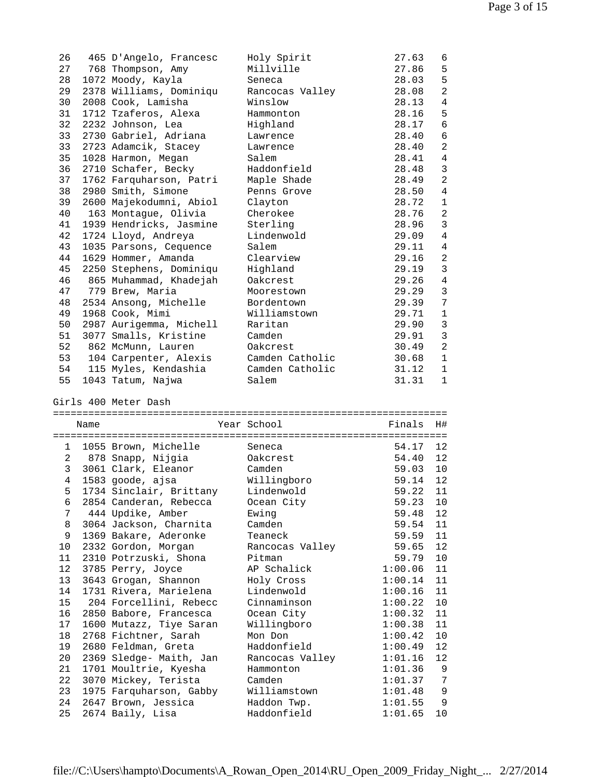| 26       |      | 465 D'Angelo, Francesc                  | Holy Spirit                  | 27.63              | 6              |
|----------|------|-----------------------------------------|------------------------------|--------------------|----------------|
| 27       |      | 768 Thompson, Amy                       | Millville                    | 27.86              | 5              |
| 28       |      | 1072 Moody, Kayla                       | Seneca                       | 28.03              | 5              |
| 29       |      | 2378 Williams, Dominiqu                 | Rancocas Valley              | 28.08              | $\overline{2}$ |
| 30       |      | 2008 Cook, Lamisha                      | Winslow                      | 28.13              | 4              |
| 31       |      | 1712 Tzaferos, Alexa                    | Hammonton                    | 28.16              | 5              |
| 32       |      | 2232 Johnson, Lea                       | Highland                     | 28.17              | $\sqrt{6}$     |
| 33       |      | 2730 Gabriel, Adriana                   |                              | 28.40              | 6              |
|          |      |                                         | Lawrence                     |                    |                |
| 33       |      | 2723 Adamcik, Stacey                    | Lawrence                     | 28.40              | 2              |
| 35       |      | 1028 Harmon, Megan                      | Salem                        | 28.41              | $\overline{4}$ |
| 36       |      | 2710 Schafer, Becky                     | Haddonfield                  | 28.48              | $\mathbf{3}$   |
| 37       |      | 1762 Farquharson, Patri                 | Maple Shade                  | 28.49              | 2              |
| 38       |      | 2980 Smith, Simone                      | Penns Grove                  | 28.50              | $\overline{4}$ |
| 39       |      | 2600 Majekodumni, Abiol                 | Clayton                      | 28.72              | $\mathbf{1}$   |
| 40       |      | 163 Montague, Olivia                    | Cherokee                     | 28.76              | 2              |
| 41       |      | 1939 Hendricks, Jasmine                 | Sterling                     | 28.96              | $\mathbf{3}$   |
| 42       |      | 1724 Lloyd, Andreya                     | Lindenwold                   | 29.09              | $\overline{4}$ |
| 43       |      | 1035 Parsons, Cequence                  | Salem                        | 29.11              | $\overline{4}$ |
| 44       |      | 1629 Hommer, Amanda                     | Clearview                    | 29.16              | 2              |
| 45       |      | 2250 Stephens, Dominiqu                 | Highland                     | 29.19              | 3              |
| 46       |      | 865 Muhammad, Khadejah                  | Oakcrest                     | 29.26              | $\overline{4}$ |
| 47       |      | 779 Brew, Maria                         | Moorestown                   | 29.29              | $\mathfrak{Z}$ |
| 48       |      | 2534 Ansong, Michelle                   | Bordentown                   | 29.39              | 7              |
|          |      |                                         |                              | 29.71              |                |
| 49       |      | 1968 Cook, Mimi                         | Williamstown                 |                    | $\mathbf{1}$   |
| 50       |      | 2987 Aurigemma, Michell                 | Raritan                      | 29.90              | $\mathfrak{Z}$ |
| 51       |      | 3077 Smalls, Kristine                   | Camden                       | 29.91              | $\mathbf{3}$   |
| 52       |      | 862 McMunn, Lauren                      | Oakcrest                     | 30.49              | $\overline{2}$ |
| 53       |      | 104 Carpenter, Alexis                   | Camden Catholic              | 30.68              | 1              |
| 54       |      | 115 Myles, Kendashia                    | Camden Catholic              | 31.12              | $\mathbf{1}$   |
| 55       |      | 1043 Tatum, Najwa                       | Salem                        | 31.31              | $\mathbf{1}$   |
|          |      |                                         |                              |                    |                |
|          |      |                                         |                              |                    |                |
|          |      | Girls 400 Meter Dash                    |                              |                    |                |
|          | Name |                                         | Year School                  | Finals             | H#             |
|          |      |                                         |                              |                    |                |
|          |      | 1 1055 Brown, Michelle                  | Seneca                       | 54.17              | 12             |
|          |      | 2 878 Snapp, Nijgia                     | Oakcrest                     | 54.40              | 12             |
|          |      | 3 3061 Clark, Eleanor                   | Camden                       | 59.03              | 10             |
|          |      |                                         | Willingboro                  | 59.14              | 12             |
|          |      | 4 1583 goode, ajsa                      |                              |                    |                |
|          |      | 5 1734 Sinclair, Brittany Lindenwold    |                              | 59.22 11           |                |
| 6        |      | 2854 Canderan, Rebecca                  | Ocean City                   | 59.23              | 10             |
| 7        |      | 444 Updike, Amber                       | Ewing                        | 59.48              | 12             |
| 8        |      | 3064 Jackson, Charnita                  | Camden                       | 59.54              | 11             |
| 9        |      | 1369 Bakare, Aderonke                   | Teaneck                      | 59.59              | 11             |
| 10       |      | 2332 Gordon, Morgan                     | Rancocas Valley              | 59.65              | 12             |
| 11       |      | 2310 Potrzuski, Shona                   | Pitman                       | 59.79              | $10 \,$        |
| 12       |      | 3785 Perry, Joyce                       | AP Schalick                  | 1:00.06            | 11             |
| 13       |      | 3643 Grogan, Shannon                    | Holy Cross                   | 1:00.14            | 11             |
| 14       |      | 1731 Rivera, Marielena                  | Lindenwold                   | 1:00.16            | 11             |
| 15       |      | 204 Forcellini, Rebecc                  | Cinnaminson                  | 1:00.22            | 10             |
| 16       |      | 2850 Babore, Francesca                  | Ocean City                   | 1:00.32            | 11             |
| 17       |      | 1600 Mutazz, Tiye Saran                 | Willingboro                  | 1:00.38            | 11             |
| 18       |      | 2768 Fichtner, Sarah                    | Mon Don                      | 1:00.42            | $10 \,$        |
| 19       |      | 2680 Feldman, Greta                     | Haddonfield                  | 1:00.49            | 12             |
| 20       |      | 2369 Sledge- Maith, Jan                 |                              | 1:01.16            | 12             |
| 21       |      | 1701 Moultrie, Kyesha                   | Rancocas Valley<br>Hammonton | 1:01.36            | 9              |
| 22       |      |                                         | Camden                       |                    | 7              |
|          |      | 3070 Mickey, Terista                    |                              | 1:01.37            |                |
| 23<br>24 |      | 1975 Farquharson, Gabby                 | Williamstown                 | 1:01.48            | 9              |
| 25       |      | 2647 Brown, Jessica<br>2674 Baily, Lisa | Haddon Twp.<br>Haddonfield   | 1:01.55<br>1:01.65 | 9<br>10        |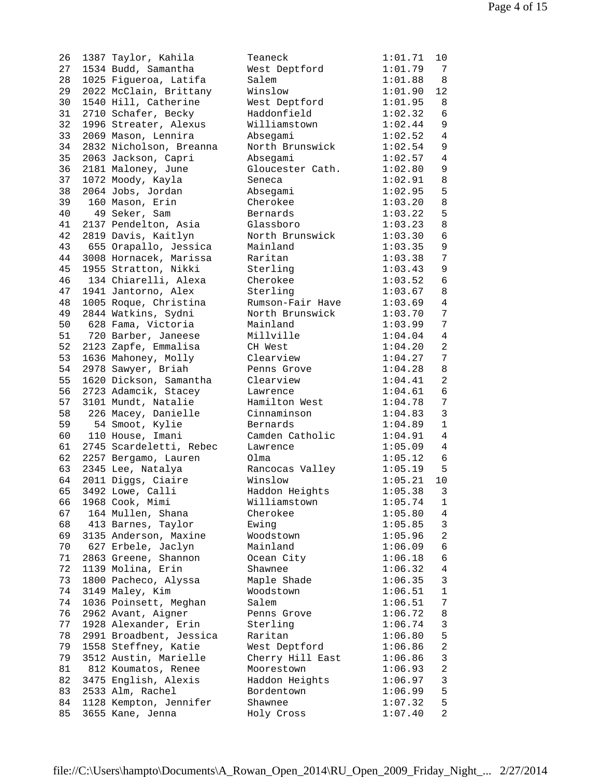26 1387 Taylor, Kahila 27 1534 Budd, Samantha 28 1025 Figueroa, Latifa 29 2022 McClain, Brittany 30 1540 Hill, Catherine 31 2710 Schafer, Becky 32 1996 Streater, Alexus 33 2069 Mason, Lennira 34 2832 Nicholson, Breanna 35 2063 Jackson, Capri 36 2181 Maloney, June 37 1072 Moody, Kayla 38 2064 Jobs, Jordan 39 160 Mason, Erin 40 49 Seker, Sam 41 2137 Pendelton, Asia 42 2819 Davis, Kaitlyn 43 655 Orapallo, Jessica 44 3008 Hornacek, Marissa 45 1955 Stratton, Nikki 46 134 Chiarelli, Alexa 47 1941 Jantorno, Alex 48 1005 Roque, Christina 49 2844 Watkins, Sydni 50 628 Fama, Victoria 51 720 Barber, Janeese 52 2123 Zapfe, Emmalisa 53 1636 Mahoney, Molly 54 2978 Sawyer, Briah 55 1620 Dickson, Samantha 56 2723 Adamcik, Stacey 57 3101 Mundt, Natalie 58 226 Macey, Danielle 59 54 Smoot, Kylie 60 110 House, Imani 61 2745 Scardeletti, Rebec 62 2257 Bergamo, Lauren 63 2345 Lee, Natalya 64 2011 Diggs, Ciaire 65 3492 Lowe, Calli 66 1968 Cook, Mimi 67 164 Mullen, Shana 68 413 Barnes, Taylor 69 3135 Anderson, Maxine 70 627 Erbele, Jaclyn 71 2863 Greene, Shannon 72 1139 Molina, Erin 73 1800 Pacheco, Alyssa 74 3149 Maley, Kim 74 1036 Poinsett, Meghan 76 2962 Avant, Aigner 77 1928 Alexander, Erin 78 2991 Broadbent, Jessica 79 1558 Steffney, Katie 79 3512 Austin, Marielle 81 812 Koumatos, Renee 82 3475 English, Alexis 83 2533 Alm, Rachel 84 1128 Kempton, Jennifer 85 3655 Kane, Jenna

| Teaneck          | 1:01.71 | 10             |
|------------------|---------|----------------|
| West Deptford    | 1:01.79 | 7              |
| Salem            | 1:01.88 | E              |
| Winslow          | 1:01.90 | 12             |
| West Deptford    | 1:01.95 | ε              |
| Haddonfield      | 1:02.32 | $\epsilon$     |
| Williamstown     | 1:02.44 | S              |
| Absegami         | 1:02.52 | 4              |
| North Brunswick  | 1:02.54 | ç              |
| Absegami         | 1:02.57 | $\overline{4}$ |
| Gloucester Cath. | 1:02.80 | S              |
| Seneca           | 1:02.91 | E              |
| Absegami         | 1:02.95 | 5              |
| Cherokee         | 1:03.20 | ε              |
| Bernards         | 1:03.22 | 5              |
| Glassboro        | 1:03.23 | ξ              |
| North Brunswick  | 1:03.30 | $\epsilon$     |
| Mainland         | 1:03.35 | S              |
| Raritan          | 1:03.38 | 7              |
| Sterling         | 1:03.43 | ç              |
| Cherokee         | 1:03.52 | $\epsilon$     |
| Sterling         | 1:03.67 | ξ              |
| Rumson-Fair Have | 1:03.69 | 4              |
| North Brunswick  | 1:03.70 | 7              |
| Mainland         | 1:03.99 | 7              |
| Millville        | 1:04.04 | 4              |
| CH West          | 1:04.20 | 2              |
| Clearview        | 1:04.27 | 7              |
| Penns Grove      | 1:04.28 | ξ              |
| Clearview        | 1:04.41 | 2              |
| Lawrence         | 1:04.61 | $\epsilon$     |
| Hamilton West    | 1:04.78 | 7              |
| Cinnaminson      | 1:04.83 | 3              |
| Bernards         | 1:04.89 | $\mathbf{1}$   |
| Camden Catholic  | 1:04.91 | $\overline{4}$ |
| Lawrence         | 1:05.09 | 4              |
| Olma             | 1:05.12 | $\epsilon$     |
| Rancocas Valley  | 1:05.19 | 5              |
| Winslow          | 1:05.21 | 1 <sub>C</sub> |
| Haddon Heights   | 1:05.38 | 3              |
| Williamstown     | 1:05.74 | ı              |
| Cherokee         | 1:05.80 | 4              |
| Ewing            | 1:05.85 |                |
| Woodstown        | 1:05.96 | 2              |
| Mainland         | 1:06.09 | $\epsilon$     |
| Ocean City       | 1:06.18 | $\epsilon$     |
| Shawnee          | 1:06.32 | $\overline{4}$ |
| Maple Shade      | 1:06.35 | 3              |
| Woodstown        | 1:06.51 | $\mathbf{1}$   |
| Salem            | 1:06.51 | 7              |
| Penns Grove      | 1:06.72 | $\epsilon$     |
| Sterling         | 1:06.74 | 3              |
| Raritan          | 1:06.80 | 5              |
| West Deptford    | 1:06.86 | $\tilde{z}$    |
| Cherry Hill East | 1:06.86 |                |
| Moorestown       | 1:06.93 |                |
| Haddon Heights   | 1:06.97 | دی دی دی تا    |
| Bordentown       | 1:06.99 |                |
| Shawnee          | 1:07.32 | 5              |
| Holy Cross       | 1:07.40 | 2              |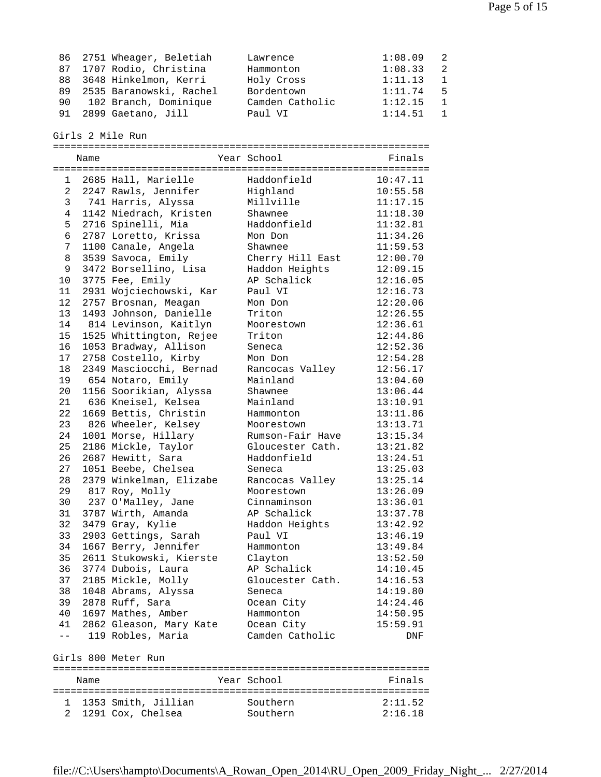| 86 2751 Wheager, Beletiah  | Lawrence        | $1:08.09$ 2 |                |
|----------------------------|-----------------|-------------|----------------|
| 87 1707 Rodio, Christina   | Hammonton       | 1:08.33     | -2             |
| 88 3648 Hinkelmon, Kerri   | Holy Cross      | 1:11.13     | $\overline{1}$ |
| 89 2535 Baranowski, Rachel | Bordentown      | 1:11.74     | - 5            |
| 90 102 Branch, Dominique   | Camden Catholic | 1:12.15     | $\mathbf{1}$   |
| 91 2899 Gaetano, Jill      | Paul VI         | 1:14.51     | $\sim$ 1       |

Girls 2 Mile Run

|                | Name |                         | Year School      | Finals   |
|----------------|------|-------------------------|------------------|----------|
|                |      |                         |                  |          |
| $\mathbf{1}$   |      | 2685 Hall, Marielle     | Haddonfield      | 10:47.11 |
| $\mathbf{2}$   |      | 2247 Rawls, Jennifer    | Highland         | 10:55.58 |
| 3              |      | 741 Harris, Alyssa      | Millville        | 11:17.15 |
| 4              |      | 1142 Niedrach, Kristen  | Shawnee          | 11:18.30 |
| 5              |      | 2716 Spinelli, Mia      | Haddonfield      | 11:32.81 |
| $\epsilon$     |      | 2787 Loretto, Krissa    | Mon Don          | 11:34.26 |
| $\overline{7}$ |      | 1100 Canale, Angela     | Shawnee          | 11:59.53 |
| 8              |      | 3539 Savoca, Emily      | Cherry Hill East | 12:00.70 |
| 9              |      | 3472 Borsellino, Lisa   | Haddon Heights   | 12:09.15 |
| 10             |      | 3775 Fee, Emily         | AP Schalick      | 12:16.05 |
| 11             |      | 2931 Wojciechowski, Kar | Paul VI          | 12:16.73 |
| 12             |      | 2757 Brosnan, Meagan    | Mon Don          | 12:20.06 |
| 13             |      | 1493 Johnson, Danielle  | Triton           | 12:26.55 |
| 14             |      | 814 Levinson, Kaitlyn   | Moorestown       | 12:36.61 |
| 15             |      | 1525 Whittington, Rejee | Triton           | 12:44.86 |
| 16             |      | 1053 Bradway, Allison   | Seneca           | 12:52.36 |
| 17             |      | 2758 Costello, Kirby    | Mon Don          | 12:54.28 |
| 18             |      | 2349 Masciocchi, Bernad | Rancocas Valley  | 12:56.17 |
| 19             |      | 654 Notaro, Emily       | Mainland         | 13:04.60 |
| 20             |      | 1156 Soorikian, Alyssa  | Shawnee          | 13:06.44 |
| 21             |      | 636 Kneisel, Kelsea     | Mainland         | 13:10.91 |
| 22             |      | 1669 Bettis, Christin   | Hammonton        | 13:11.86 |
| 23             |      | 826 Wheeler, Kelsey     | Moorestown       | 13:13.71 |
| 24             |      | 1001 Morse, Hillary     | Rumson-Fair Have | 13:15.34 |
| 25             |      | 2186 Mickle, Taylor     | Gloucester Cath. | 13:21.82 |
| 26             |      | 2687 Hewitt, Sara       | Haddonfield      | 13:24.51 |
| 27             |      | 1051 Beebe, Chelsea     | Seneca           | 13:25.03 |
| 28             |      | 2379 Winkelman, Elizabe | Rancocas Valley  | 13:25.14 |
| 29             |      | 817 Roy, Molly          | Moorestown       | 13:26.09 |
| 30             |      | 237 O'Malley, Jane      | Cinnaminson      | 13:36.01 |
| 31             |      | 3787 Wirth, Amanda      | AP Schalick      | 13:37.78 |
| 32             |      | 3479 Gray, Kylie        | Haddon Heights   | 13:42.92 |
| 33             |      | 2903 Gettings, Sarah    | Paul VI          | 13:46.19 |
| 34             |      | 1667 Berry, Jennifer    | Hammonton        | 13:49.84 |
| 35             |      | 2611 Stukowski, Kierste | Clayton          | 13:52.50 |
| 36             |      | 3774 Dubois, Laura      | AP Schalick      | 14:10.45 |
| 37             |      | 2185 Mickle, Molly      | Gloucester Cath. | 14:16.53 |
|                |      | 38 1048 Abrams, Alyssa  | Seneca           | 14:19.80 |
|                |      | 39 2878 Ruff, Sara      | Ocean City       | 14:24.46 |
|                |      | 40 1697 Mathes, Amber   | Hammonton        | 14:50.95 |
| 41             |      | 2862 Gleason, Mary Kate | Ocean City       | 15:59.91 |
| $- -$          |      | 119 Robles, Maria       | Camden Catholic  | DNF      |
|                |      |                         |                  |          |
|                |      | Girls 800 Meter Run     |                  |          |
|                | Name |                         | Year School      | Finals   |
|                |      | 1 1353 Smith, Jillian   | Southern         | 2:11.52  |
| 2              |      | 1291 Cox, Chelsea       | Southern         | 2:16.18  |
|                |      |                         |                  |          |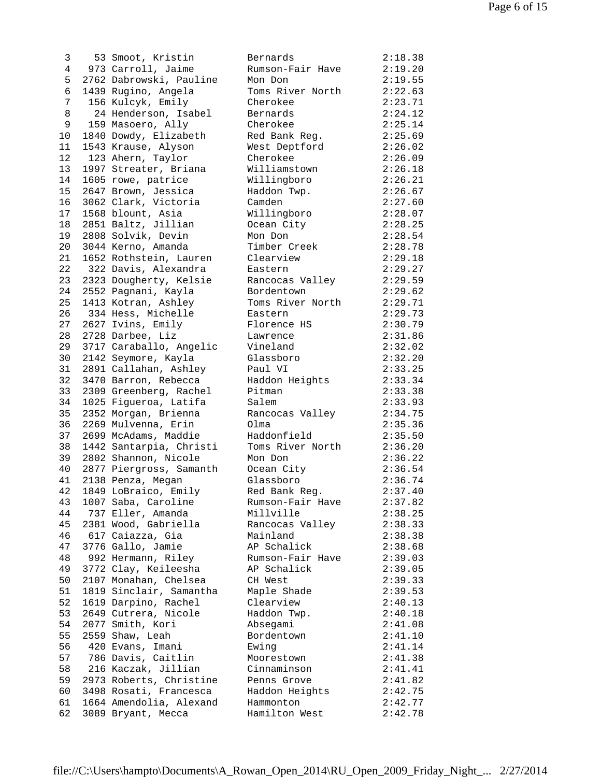| 3               |         | 53 Smoot, Kristin          |
|-----------------|---------|----------------------------|
| $4\overline{ }$ |         | 973 Carroll, Jaime         |
| 5 <sub>1</sub>  |         | 2762 Dabrowski, Pauline    |
| $\epsilon$      |         | 1439 Rugino, Angela        |
| $\overline{7}$  |         | 156 Kulcyk, Emily          |
| 8               |         | 24 Henderson, Isabel       |
| 9               |         | 159 Masoero, Ally          |
| 10              |         | 1840 Dowdy, Elizabeth      |
| 11              |         | 1543 Krause, Alyson        |
| 12              | 123     | Ahern, Taylor              |
| 13              |         | 1997 Streater, Briana      |
| 14              | 1605    | rowe, patrice              |
|                 |         |                            |
|                 | 15 2647 | Brown, Jessica             |
| 16              |         | 3062 Clark, Victoria       |
| 17              |         | 1568 blount, Asia          |
| 18              | 2851    | Baltz, Jillian             |
| 19              |         | 2808 Solvik, Devin         |
| 20              |         | 3044 Kerno, Amanda         |
| 21              | 1652    | Rothstein, Lauren          |
| 22              | 322     | Davis, Alexandra           |
|                 | 23 2323 | Dougherty, Kelsie          |
|                 |         | 24 2552 Pagnani, Kayla     |
| 25              | 1413    | Kotran, Ashley             |
| 26              |         | 334 Hess, Michelle         |
| 27              |         | 2627 Ivins, Emily          |
| 28              | 2728    | Darbee, Liz                |
| 29              |         | 3717 Caraballo, Angelic    |
| 30              |         | 2142 Seymore, Kayla        |
| 31              | 2891    | Callahan, Ashley           |
| 32              | 3470    | Barron, Rebecca            |
| 33              | 2309    | Greenberg, Rachel          |
| 34              | 1025    | Figueroa, Latifa           |
| 35              | 2352    | Morgan, Brienna            |
| 36              | 2269    | Mulvenna, Erin             |
| 37              |         | 2699 McAdams, Maddie       |
| 38              |         | 1442 Santarpia, Christi    |
|                 |         | 39 2802 Shannon, Nicole    |
|                 |         | 40 2877 Piergross, Samanth |
|                 |         | 41 2138 Penza, Megan       |
| 42              |         |                            |
|                 |         | 1849 LoBraico, Emily       |
| 43              |         | 1007 Saba, Caroline        |
| 44              | 737     | Eller, Amanda              |
| 45              | 2381    | Wood, Gabriella            |
| 46              |         | 617 Caiazza, Gia           |
| 47              |         | 3776 Gallo, Jamie          |
| 48              | 992     | Hermann, Riley             |
| 49              | 3772    | Clay, Keileesha            |
| 50              | 2107    | Monahan, Chelsea           |
| 51              |         | 1819 Sinclair, Samantha    |
| 52              | 1619    | Darpino, Rachel            |
| 53              |         | 2649 Cutrera, Nicole       |
| 54              | 2077    | Smith, Kori                |
| 55              |         | 2559 Shaw, Leah            |
| 56              | 420     | Evans, Imani               |
| 57              | 786     | Davis, Caitlin             |
| 58              | 216     | Kaczak, Jillian            |
| 59              | 2973    | Roberts, Christine         |
| 60              | 3498    | Rosati, Francesca          |
| 61              | 1664    | Amendolia, Alexand         |
| 62              | 3089    | Bryant, Mecca              |
|                 |         |                            |

| 3  | 53 Smoot, Kristin       | Bernards         | 2:18.38 |
|----|-------------------------|------------------|---------|
| 4  | 973 Carroll, Jaime      | Rumson-Fair Have | 2:19.20 |
| 5  | 2762 Dabrowski, Pauline | Mon Don          | 2:19.55 |
| 6  | 1439 Rugino, Angela     | Toms River North | 2:22.63 |
| 7  | 156 Kulcyk, Emily       | Cherokee         | 2:23.71 |
| 8  | 24 Henderson, Isabel    | Bernards         | 2:24.12 |
| 9  | 159 Masoero, Ally       | Cherokee         | 2:25.14 |
| 10 | 1840 Dowdy, Elizabeth   | Red Bank Reg.    | 2:25.69 |
| 11 | 1543 Krause, Alyson     | West Deptford    | 2:26.02 |
| 12 | 123 Ahern, Taylor       | Cherokee         | 2:26.09 |
| 13 | 1997 Streater, Briana   | Williamstown     | 2:26.18 |
| 14 | 1605 rowe, patrice      | Willingboro      | 2:26.21 |
| 15 | 2647 Brown, Jessica     | Haddon Twp.      | 2:26.67 |
| 16 | 3062 Clark, Victoria    | Camden           | 2:27.60 |
| 17 | 1568 blount, Asia       | Willingboro      | 2:28.07 |
| 18 | 2851 Baltz, Jillian     | Ocean City       | 2:28.25 |
| 19 | 2808 Solvik, Devin      | Mon Don          | 2:28.54 |
| 20 | 3044 Kerno, Amanda      | Timber Creek     | 2:28.78 |
| 21 |                         | Clearview        | 2:29.18 |
|    | 1652 Rothstein, Lauren  |                  |         |
| 22 | 322 Davis, Alexandra    | Eastern          | 2:29.27 |
| 23 | 2323 Dougherty, Kelsie  | Rancocas Valley  | 2:29.59 |
| 24 | 2552 Pagnani, Kayla     | Bordentown       | 2:29.62 |
| 25 | 1413 Kotran, Ashley     | Toms River North | 2:29.71 |
| 26 | 334 Hess, Michelle      | Eastern          | 2:29.73 |
| 27 | 2627 Ivins, Emily       | Florence HS      | 2:30.79 |
| 28 | 2728 Darbee, Liz        | Lawrence         | 2:31.86 |
| 29 | 3717 Caraballo, Angelic | Vineland         | 2:32.02 |
| 30 | 2142 Seymore, Kayla     | Glassboro        | 2:32.20 |
| 31 | 2891 Callahan, Ashley   | Paul VI          | 2:33.25 |
| 32 | 3470 Barron, Rebecca    | Haddon Heights   | 2:33.34 |
| 33 | 2309 Greenberg, Rachel  | Pitman           | 2:33.38 |
| 34 | 1025 Figueroa, Latifa   | Salem            | 2:33.93 |
| 35 | 2352 Morgan, Brienna    | Rancocas Valley  | 2:34.75 |
| 36 | 2269 Mulvenna, Erin     | Olma             | 2:35.36 |
| 37 | 2699 McAdams, Maddie    | Haddonfield      | 2:35.50 |
| 38 | 1442 Santarpia, Christi | Toms River North | 2:36.20 |
| 39 | 2802 Shannon, Nicole    | Mon Don          | 2:36.22 |
| 40 | 2877 Piergross, Samanth | Ocean City       | 2:36.54 |
| 41 | 2138 Penza, Megan       | Glassboro        | 2:36.74 |
| 42 | 1849 LoBraico, Emily    | Red Bank Reg.    | 2:37.40 |
| 43 | 1007 Saba, Caroline     | Rumson-Fair Have | 2:37.82 |
| 44 | 737 Eller, Amanda       | Millville        | 2:38.25 |
| 45 | 2381 Wood, Gabriella    | Rancocas Valley  | 2:38.33 |
| 46 | 617 Caiazza, Gia        | Mainland         | 2:38.38 |
| 47 | 3776 Gallo, Jamie       | AP Schalick      | 2:38.68 |
| 48 | 992 Hermann, Riley      | Rumson-Fair Have | 2:39.03 |
| 49 | 3772 Clay, Keileesha    | AP Schalick      | 2:39.05 |
| 50 | 2107 Monahan, Chelsea   | CH West          | 2:39.33 |
| 51 | 1819 Sinclair, Samantha | Maple Shade      | 2:39.53 |
| 52 | 1619 Darpino, Rachel    | Clearview        | 2:40.13 |
| 53 | 2649 Cutrera, Nicole    | Haddon Twp.      | 2:40.18 |
| 54 | 2077 Smith, Kori        | Absegami         | 2:41.08 |
| 55 | 2559 Shaw, Leah         | Bordentown       | 2:41.10 |
| 56 | 420 Evans, Imani        | Ewing            | 2:41.14 |
| 57 | 786 Davis, Caitlin      | Moorestown       | 2:41.38 |
| 58 | 216 Kaczak, Jillian     | Cinnaminson      | 2:41.41 |
| 59 | 2973 Roberts, Christine | Penns Grove      | 2:41.82 |
| 60 | 3498 Rosati, Francesca  | Haddon Heights   | 2:42.75 |
| 61 | 1664 Amendolia, Alexand | Hammonton        |         |
| 62 |                         |                  | 2:42.77 |
|    | 3089 Bryant, Mecca      | Hamilton West    | 2:42.78 |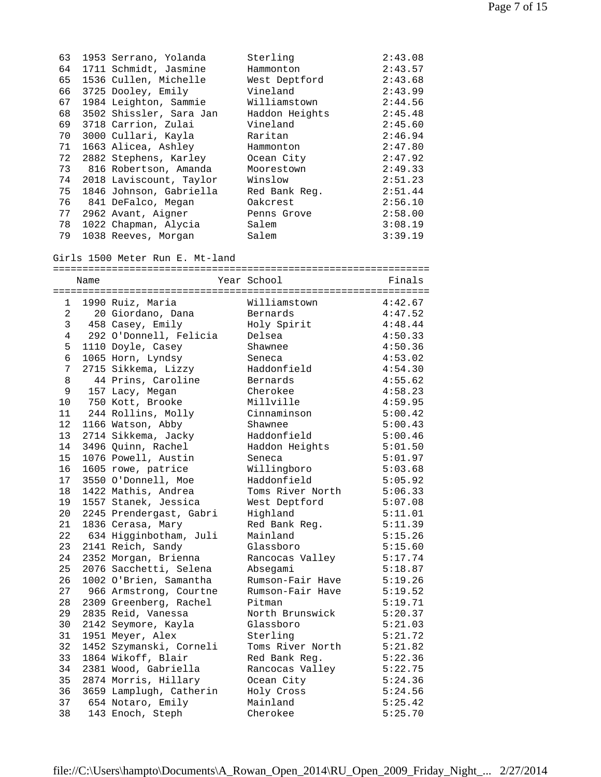| 63 | 1953 Serrano, Yolanda   | Sterling       | 2:43.08 |
|----|-------------------------|----------------|---------|
| 64 | 1711 Schmidt, Jasmine   | Hammonton      | 2:43.57 |
| 65 | 1536 Cullen, Michelle   | West Deptford  | 2:43.68 |
| 66 | 3725 Dooley, Emily      | Vineland       | 2:43.99 |
| 67 | 1984 Leighton, Sammie   | Williamstown   | 2:44.56 |
| 68 | 3502 Shissler, Sara Jan | Haddon Heights | 2:45.48 |
| 69 | 3718 Carrion, Zulai     | Vineland       | 2:45.60 |
| 70 | 3000 Cullari, Kayla     | Raritan        | 2:46.94 |
| 71 | 1663 Alicea, Ashley     | Hammonton      | 2:47.80 |
| 72 | 2882 Stephens, Karley   | Ocean City     | 2:47.92 |
| 73 | 816 Robertson, Amanda   | Moorestown     | 2:49.33 |
| 74 | 2018 Laviscount, Taylor | Winslow        | 2:51.23 |
| 75 | 1846 Johnson, Gabriella | Red Bank Req.  | 2:51.44 |
| 76 | 841 DeFalco, Megan      | Oakcrest       | 2:56.10 |
| 77 | 2962 Avant, Aigner      | Penns Grove    | 2:58.00 |
| 78 | 1022 Chapman, Alycia    | Salem          | 3:08.19 |
| 79 | 1038 Reeves, Morgan     | Salem          | 3:39.19 |

## Girls 1500 Meter Run E. Mt-land

|                | Name |                         | Year School      | Finals  |
|----------------|------|-------------------------|------------------|---------|
|                |      |                         |                  |         |
| 1              |      | 1990 Ruiz, Maria        | Williamstown     | 4:42.67 |
| $\overline{2}$ |      | 20 Giordano, Dana       | Bernards         | 4:47.52 |
| 3              |      | 458 Casey, Emily        | Holy Spirit      | 4:48.44 |
| 4              |      | 292 O'Donnell, Felicia  | Delsea           | 4:50.33 |
| 5              |      | 1110 Doyle, Casey       | Shawnee          | 4:50.36 |
| б.             |      | 1065 Horn, Lyndsy       | Seneca           | 4:53.02 |
| 7              |      | 2715 Sikkema, Lizzy     | Haddonfield      | 4:54.30 |
| 8              |      | 44 Prins, Caroline      | Bernards         | 4:55.62 |
| 9              |      | 157 Lacy, Megan         | Cherokee         | 4:58.23 |
| 10             |      | 750 Kott, Brooke        | Millville        | 4:59.95 |
| 11             |      | 244 Rollins, Molly      | Cinnaminson      | 5:00.42 |
| $12 \,$        |      | 1166 Watson, Abby       | Shawnee          | 5:00.43 |
| 13             |      | 2714 Sikkema, Jacky     | Haddonfield      | 5:00.46 |
| 14             |      | 3496 Quinn, Rachel      | Haddon Heights   | 5:01.50 |
| 15             |      | 1076 Powell, Austin     | Seneca           | 5:01.97 |
| 16             |      | 1605 rowe, patrice      | Willingboro      | 5:03.68 |
| 17             |      | 3550 O'Donnell, Moe     | Haddonfield      | 5:05.92 |
| 18             |      | 1422 Mathis, Andrea     | Toms River North | 5:06.33 |
| 19             |      | 1557 Stanek, Jessica    | West Deptford    | 5:07.08 |
| 20             |      | 2245 Prendergast, Gabri | Highland         | 5:11.01 |
| 21             |      | 1836 Cerasa, Mary       | Red Bank Req.    | 5:11.39 |
| 22             |      | 634 Higginbotham, Juli  | Mainland         | 5:15.26 |
| 23             |      | 2141 Reich, Sandy       | Glassboro        | 5:15.60 |
| 24             |      | 2352 Morgan, Brienna    | Rancocas Valley  | 5:17.74 |
| 25             |      | 2076 Sacchetti, Selena  | Absegami         | 5:18.87 |
| 26             |      | 1002 O'Brien, Samantha  | Rumson-Fair Have | 5:19.26 |
| 27             |      | 966 Armstrong, Courtne  | Rumson-Fair Have | 5:19.52 |
| 28             |      | 2309 Greenberg, Rachel  | Pitman           | 5:19.71 |
| 29             |      | 2835 Reid, Vanessa      | North Brunswick  | 5:20.37 |
| 30             |      | 2142 Seymore, Kayla     | Glassboro        | 5:21.03 |
| 31             |      | 1951 Meyer, Alex        | Sterling         | 5:21.72 |
| 32             |      | 1452 Szymanski, Corneli | Toms River North | 5:21.82 |
| 33             |      | 1864 Wikoff, Blair      | Red Bank Req.    | 5:22.36 |
| 34             |      | 2381 Wood, Gabriella    | Rancocas Valley  | 5:22.75 |
| 35             |      | 2874 Morris, Hillary    | Ocean City       | 5:24.36 |
| 36             |      | 3659 Lamplugh, Catherin | Holy Cross       | 5:24.56 |
| 37             |      | 654 Notaro, Emily       | Mainland         | 5:25.42 |
| 38             |      | 143 Enoch, Steph        | Cherokee         | 5:25.70 |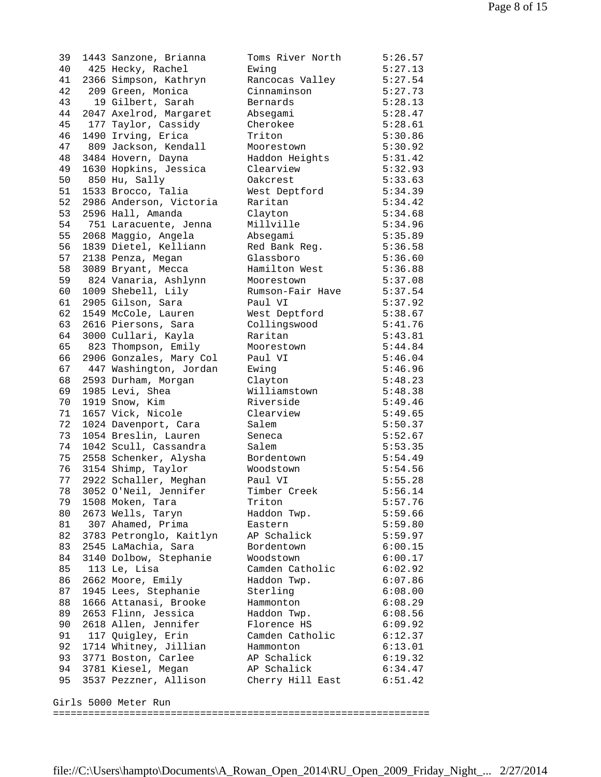39 1443 Sanzone, Brianna 40 425 Hecky, Rachel 41 2366 Simpson, Kathryn 42 209 Green, Monica 43 19 Gilbert, Sarah 44 2047 Axelrod, Margaret 45 177 Taylor, Cassidy 46 1490 Irving, Erica 47 809 Jackson, Kendall 48 3484 Hovern, Dayna 49 1630 Hopkins, Jessica  $50$  850 Hu, Sally 51 1533 Brocco, Talia 52 2986 Anderson, Victoria 53 2596 Hall, Amanda 54 751 Laracuente, Jenna 55 2068 Maggio, Angela 56 1839 Dietel, Kelliann 57 2138 Penza, Megan 58 3089 Bryant, Mecca 59 824 Vanaria, Ashlynn 60 1009 Shebell, Lily 61 2905 Gilson, Sara 62 1549 McCole, Lauren 63 2616 Piersons, Sara 64 3000 Cullari, Kayla  $65$   $823$  Thompson, Emily 66 2906 Gonzales, Mary Col 67 447 Washington, Jordan 68 2593 Durham, Morgan 69 1985 Levi, Shea 70 1919 Snow, Kim 71 1657 Vick, Nicole 72 1024 Davenport, Cara 73 1054 Breslin, Lauren 74 1042 Scull, Cassandra 75 2558 Schenker, Alysha 76 3154 Shimp, Taylor 77 2922 Schaller, Meghan 78 3052 O'Neil, Jennifer 79 1508 Moken, Tara 80 2673 Wells, Taryn 81 307 Ahamed, Prima 82 3783 Petronglo, Kaitlyn 83 2545 LaMachia, Sara 84 3140 Dolbow, Stephanie 85 113 Le, Lisa 86 2662 Moore, Emily 87 1945 Lees, Stephanie 88 1666 Attanasi, Brooke 89 2653 Flinn, Jessica 90 2618 Allen, Jennifer 91 117 Quigley, Erin 92 1714 Whitney, Jillian 93 3771 Boston, Carlee 94 3781 Kiesel, Megan 95 3537 Pezzner, Allison Girls 5000 Meter Run

| Toms River North | 5:26.57 |
|------------------|---------|
| Ewing            | 5:27.13 |
| Rancocas Valley  | 5:27.54 |
| Cinnaminson      | 5:27.73 |
| Bernards         | 5:28.13 |
| Absegami         | 5:28.47 |
| Cherokee         | 5:28.61 |
| Triton           | 5:30.86 |
| Moorestown       | 5:30.92 |
| Haddon Heights   | 5:31.42 |
| Clearview        | 5:32.93 |
| Oakcrest         | 5:33.63 |
| West Deptford    | 5:34.39 |
| Raritan          | 5:34.42 |
| Clayton          | 5:34.68 |
| Millville        | 5:34.96 |
| Absegami         | 5:35.89 |
| Red Bank Reg.    | 5:36.58 |
| Glassboro        | 5:36.60 |
| Hamilton West    | 5:36.88 |
| Moorestown       | 5:37.08 |
| Rumson-Fair Have | 5:37.54 |
| Paul VI          | 5:37.92 |
| West Deptford    | 5:38.67 |
| Collingswood     | 5:41.76 |
| Raritan          | 5:43.81 |
| Moorestown       | 5:44.84 |
| Paul VI          | 5:46.04 |
| Ewing            | 5:46.96 |
| Clayton          | 5:48.23 |
| Williamstown     | 5:48.38 |
| Riverside        | 5:49.46 |
| Clearview        | 5:49.65 |
| Salem            | 5:50.37 |
| Seneca           | 5:52.67 |
| Salem            | 5:53.35 |
| Bordentown       | 5:54.49 |
| Woodstown        | 5:54.56 |
| Paul VI          | 5:55.28 |
| Timber Creek     | 5:56.14 |
| Triton           | 5:57.76 |
| Haddon Twp.      | 5:59.66 |
| Eastern          | 5:59.80 |
| AP Schalick      | 5:59.97 |
| Bordentown       | 6:00.15 |
| Woodstown        | 6:00.17 |
| Camden Catholic  | 6:02.92 |
| Haddon Twp.      | 6:07.86 |
| Sterling         | 6:08.00 |
| Hammonton        | 6:08.29 |
| Haddon Twp.      | 6:08.56 |
| Florence HS      | 6:09.92 |
| Camden Catholic  | 6:12.37 |
| Hammonton        | 6:13.01 |
| AP Schalick      | 6:19.32 |
| AP Schalick      | 6:34.47 |
| Cherry Hill East | 6:51.42 |
|                  |         |
|                  |         |
|                  |         |

================================================================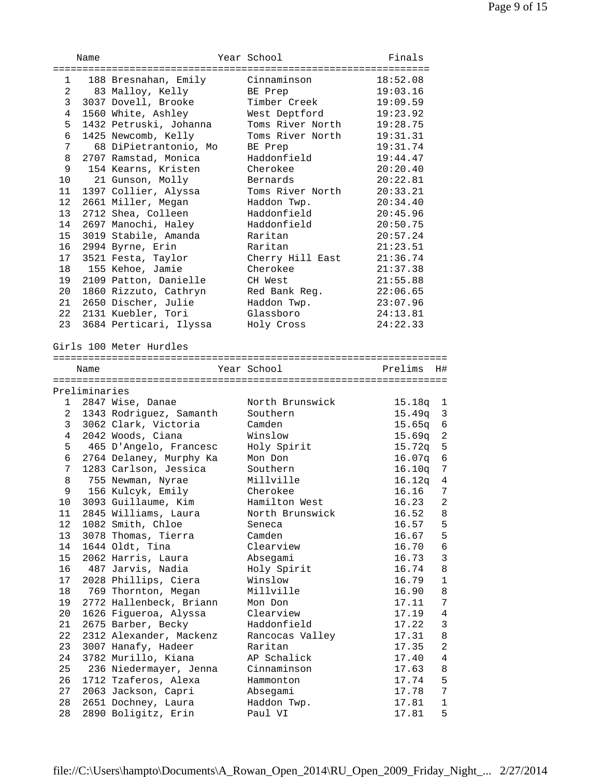|                 | Name          |                                            | Year School            | Finals                    |
|-----------------|---------------|--------------------------------------------|------------------------|---------------------------|
|                 |               |                                            |                        |                           |
| $1 \quad$       |               | 188 Bresnahan, Emily                       | Cinnaminson            | 18:52.08                  |
| 2               |               | 83 Malloy, Kelly                           | BE Prep                | 19:03.16                  |
| 3               |               | 3037 Dovell, Brooke                        | Timber Creek           | 19:09.59                  |
| 4               |               | 1560 White, Ashley                         | West Deptford          | 19:23.92                  |
| 5               |               | 1432 Petruski, Johanna                     | Toms River North       | 19:28.75                  |
| 6               |               | 1425 Newcomb, Kelly                        | Toms River North       | 19:31.31                  |
| 7               |               | 68 DiPietrantonio, Mo                      | BE Prep                | 19:31.74                  |
| 8               |               | 2707 Ramstad, Monica                       | Haddonfield            | 19:44.47                  |
| 9               |               | 154 Kearns, Kristen                        | Cherokee               | 20:20.40                  |
| 10              |               | 21 Gunson, Molly                           | Bernards               | 20:22.81                  |
| 11              |               | 1397 Collier, Alyssa                       | Toms River North       | 20:33.21                  |
| 12              |               | 2661 Miller, Megan                         | Haddon Twp.            | 20:34.40                  |
| 13              |               | 2712 Shea, Colleen                         | Haddonfield            | 20:45.96                  |
| 14              |               | 2697 Manochi, Haley                        | Haddonfield            | 20:50.75                  |
| 15              |               | 3019 Stabile, Amanda                       | Raritan                | 20:57.24                  |
| 16              |               | 2994 Byrne, Erin                           | Raritan                | 21:23.51                  |
| 17              |               | 3521 Festa, Taylor                         | Cherry Hill East       | 21:36.74                  |
| 18              |               | 155 Kehoe, Jamie                           | Cherokee               | 21:37.38                  |
| 19              |               | 2109 Patton, Danielle                      | CH West                | 21:55.88                  |
| 20              |               | 1860 Rizzuto, Cathryn                      | Red Bank Reg.          | 22:06.65                  |
| 21              |               | 2650 Discher, Julie                        | Haddon Twp.            | 23:07.96                  |
| 22              |               | 2131 Kuebler, Tori                         | Glassboro              | 24:13.81                  |
| 23              |               | 3684 Perticari, Ilyssa                     | Holy Cross             | 24:22.33                  |
|                 |               | Girls 100 Meter Hurdles                    |                        |                           |
|                 |               |                                            |                        |                           |
|                 | Name          |                                            | Year School            | Prelims<br>H#             |
|                 |               |                                            |                        |                           |
|                 | Preliminaries |                                            |                        |                           |
|                 |               |                                            |                        |                           |
| 1               |               | 2847 Wise, Danae                           | North Brunswick        | 15.18q 1                  |
| $\mathbf{2}$    |               | 1343 Rodriguez, Samanth                    | Southern               | 15.49q<br>$\overline{3}$  |
| 3               |               | 3062 Clark, Victoria                       | Camden                 | 15.65q<br>$6\overline{6}$ |
| 4               |               | 2042 Woods, Ciana                          | Winslow                | 2<br>15.69q               |
| 5               |               | 465 D'Angelo, Francesc                     | Holy Spirit            | 15.72q<br>5               |
| 6               |               | 2764 Delaney, Murphy Ka                    | Mon Don                | 16.07q 6                  |
| 7               |               | 1283 Carlson, Jessica                      | Southern               | 16.10q<br>7               |
| 8               |               | 755 Newman, Nyrae                          | Millville              | 16.12q<br>$\overline{4}$  |
| 9               |               | 156 Kulcyk, Emily                          | Cherokee               | 16.16<br>$7\phantom{.0}$  |
| $10 \,$         |               | 3093 Guillaume, Kim                        | Hamilton West          | 16.23<br>2                |
| 11              |               | 2845 Williams, Laura                       | North Brunswick        | 16.52<br>8                |
| 12 <sub>2</sub> |               | 1082 Smith, Chloe                          | Seneca                 | 16.57<br>5                |
| 13              |               | 3078 Thomas, Tierra                        | Camden                 | 5<br>16.67                |
| 14              |               | 1644 Oldt, Tina                            | Clearview              | $\epsilon$<br>16.70       |
| 15              |               | 2062 Harris, Laura                         | Absegami               | 3<br>16.73                |
| 16              |               | 487 Jarvis, Nadia                          | Holy Spirit            | 16.74<br>8                |
| 17              |               | 2028 Phillips, Ciera                       | Winslow                | 16.79<br>$\mathbf{1}$     |
| 18              |               | 769 Thornton, Megan                        | Millville              | 16.90<br>8                |
| 19              |               | 2772 Hallenbeck, Briann                    | Mon Don                | 7<br>17.11                |
| 20              |               | 1626 Figueroa, Alyssa                      | Clearview              | 17.19<br>4                |
| 21              |               | 2675 Barber, Becky                         | Haddonfield            | 17.22<br>3                |
| 22              |               | 2312 Alexander, Mackenz                    | Rancocas Valley        | 17.31<br>8                |
| 23              |               | 3007 Hanafy, Hadeer                        | Raritan                | 17.35<br>2                |
| 24              |               | 3782 Murillo, Kiana                        | AP Schalick            | 4<br>17.40                |
| 25              |               | 236 Niedermayer, Jenna                     | Cinnaminson            | 17.63<br>8                |
| 26              |               | 1712 Tzaferos, Alexa                       | Hammonton              | 17.74<br>5                |
| 27              |               | 2063 Jackson, Capri                        | Absegami               | 17.78<br>7                |
| 28<br>28        |               | 2651 Dochney, Laura<br>2890 Boligitz, Erin | Haddon Twp.<br>Paul VI | 17.81<br>1<br>5<br>17.81  |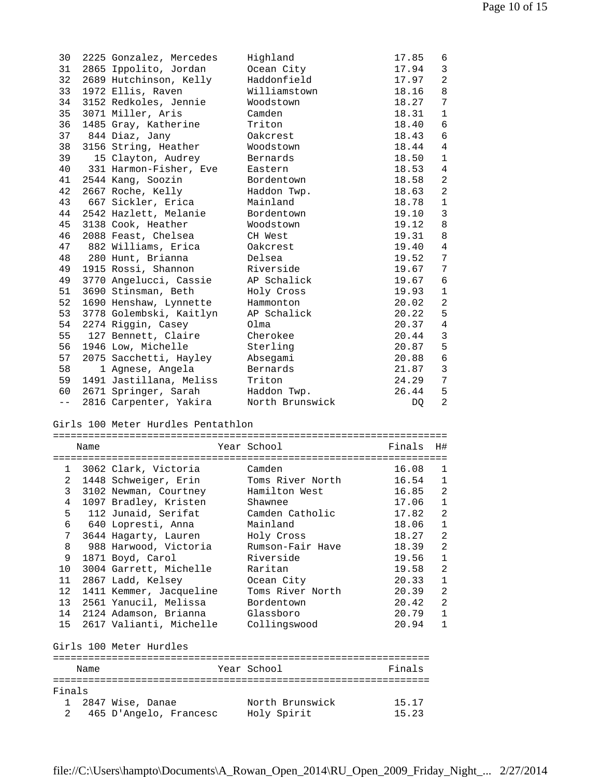| 30     |      | 2225 Gonzalez, Mercedes                    | Highland                                | 17.85          | 6                 |
|--------|------|--------------------------------------------|-----------------------------------------|----------------|-------------------|
| 31     |      | 2865 Ippolito, Jordan                      | Ocean City                              | 17.94          | 3                 |
| 32     |      | 2689 Hutchinson, Kelly                     | Haddonfield                             | 17.97          | 2                 |
| 33     |      | 1972 Ellis, Raven                          | Williamstown                            | 18.16          | 8                 |
| 34     |      | 3152 Redkoles, Jennie                      | Woodstown                               | 18.27          | 7                 |
| 35     |      | 3071 Miller, Aris                          | Camden                                  | 18.31          | $\mathbf{1}$      |
| 36     |      | 1485 Gray, Katherine                       | Triton                                  | 18.40          | 6                 |
| 37     |      | 844 Diaz, Jany                             | Oakcrest                                | 18.43          | 6                 |
| 38     |      | 3156 String, Heather                       | Woodstown                               | 18.44          | 4                 |
| 39     |      | 15 Clayton, Audrey                         | Bernards                                | 18.50          | 1                 |
| 40     |      | 331 Harmon-Fisher, Eve                     | Eastern                                 | 18.53          | 4                 |
| 41     |      | 2544 Kang, Soozin                          | Bordentown                              | 18.58          | 2                 |
| 42     |      | 2667 Roche, Kelly                          | Haddon Twp.                             | 18.63          | 2                 |
| 43     |      | 667 Sickler, Erica                         | Mainland                                | 18.78          | $\mathbf{1}$      |
| 44     |      | 2542 Hazlett, Melanie                      | Bordentown                              | 19.10          | 3                 |
| 45     |      | 3138 Cook, Heather                         | Woodstown                               | 19.12          | 8                 |
| 46     |      | 2088 Feast, Chelsea                        | CH West                                 | 19.31          | 8                 |
| 47     |      | 882 Williams, Erica                        | Oakcrest                                | 19.40          | 4                 |
| 48     |      | 280 Hunt, Brianna                          | Delsea                                  | 19.52          | 7                 |
| 49     |      | 1915 Rossi, Shannon                        | Riverside                               | 19.67          | 7                 |
|        |      |                                            | AP Schalick                             | 19.67          |                   |
| 49     |      | 3770 Angelucci, Cassie                     |                                         |                | 6<br>$\mathbf{1}$ |
| 51     |      | 3690 Stinsman, Beth                        | Holy Cross                              | 19.93          |                   |
| 52     |      | 1690 Henshaw, Lynnette                     | Hammonton                               | 20.02          | $\overline{2}$    |
| 53     |      | 3778 Golembski, Kaitlyn                    | AP Schalick                             | 20.22          | 5                 |
| 54     |      | 2274 Riggin, Casey                         | Olma                                    | 20.37          | $\overline{4}$    |
| 55     |      | 127 Bennett, Claire                        | Cherokee                                | 20.44          | 3                 |
| 56     |      | 1946 Low, Michelle                         | Sterling                                | 20.87          | 5                 |
| 57     |      | 2075 Sacchetti, Hayley                     | Absegami                                | 20.88          | 6                 |
| 58     |      | 1 Agnese, Angela                           | Bernards                                | 21.87          | $\overline{3}$    |
| 59     |      | 1491 Jastillana, Meliss                    | Triton                                  | 24.29          | 7                 |
|        |      |                                            |                                         |                |                   |
| 60     |      | 2671 Springer, Sarah                       | Haddon Twp.                             | 26.44          | 5                 |
| $- -$  |      | 2816 Carpenter, Yakira North Brunswick     |                                         | DQ             | 2                 |
|        |      |                                            |                                         |                |                   |
|        |      | Girls 100 Meter Hurdles Pentathlon         |                                         |                |                   |
|        | Name |                                            | Year School                             | Finals         | H#                |
|        |      |                                            |                                         |                |                   |
|        |      | 1 3062 Clark, Victoria                     | Camden                                  | 16.08          | 1                 |
|        |      |                                            | 2 1448 Schweiger, Erin Toms River North | $16.54$ 1      |                   |
|        |      |                                            | 3 3102 Newman, Courtney Hamilton West   | 16.85          | $\overline{a}$    |
| 4      |      |                                            | Shawnee                                 | 17.06          | ı                 |
| 5.     |      | 1097 Bradley, Kristen                      | Camden Catholic                         | 17.82          | 2                 |
| 6      |      | 112 Junaid, Serifat                        | Mainland                                | 18.06          | 1                 |
| 7      |      | 640 Lopresti, Anna                         |                                         |                | 2                 |
|        |      | 3644 Hagarty, Lauren                       | Holy Cross<br>Rumson-Fair Have          | 18.27          | 2                 |
| 8      |      | 988 Harwood, Victoria                      | Riverside                               | 18.39          | 1                 |
| 9      |      | 1871 Boyd, Carol                           |                                         | 19.56          |                   |
| 10     |      | 3004 Garrett, Michelle                     | Raritan                                 | 19.58          | 2                 |
| 11     |      | 2867 Ladd, Kelsey                          | Ocean City                              | 20.33          | 1                 |
| 12     |      | 1411 Kemmer, Jacqueline                    | Toms River North                        | 20.39          | $\mathbf{2}$      |
| 13     |      | 2561 Yanucil, Melissa                      | Bordentown                              | 20.42          | 2                 |
| 14     |      | 2124 Adamson, Brianna                      | Glassboro                               | 20.79          | 1                 |
| 15     |      | 2617 Valianti, Michelle                    | Collingswood                            | 20.94          | $\mathbf{1}$      |
|        |      | Girls 100 Meter Hurdles                    |                                         |                |                   |
|        |      |                                            |                                         |                |                   |
|        | Name |                                            | Year School                             | Finals         |                   |
|        |      |                                            |                                         |                |                   |
| Finals |      |                                            |                                         |                |                   |
| 1<br>2 |      | 2847 Wise, Danae<br>465 D'Angelo, Francesc | North Brunswick<br>Holy Spirit          | 15.17<br>15.23 |                   |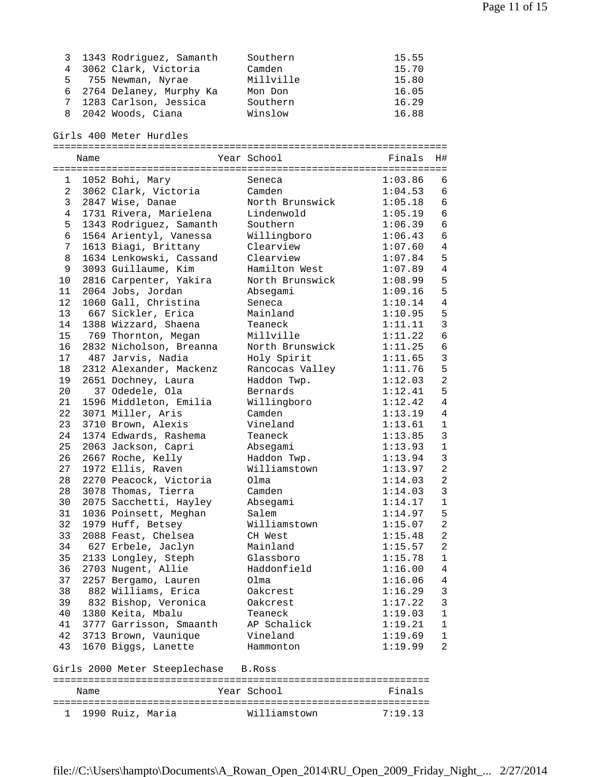| 3 1343 Rodriguez, Samanth | Southern  | 15.55 |
|---------------------------|-----------|-------|
| 4 3062 Clark, Victoria    | Camden    | 15.70 |
| 5 755 Newman, Nyrae       | Millville | 15.80 |
| 6 2764 Delaney, Murphy Ka | Mon Don   | 16.05 |
| 7 1283 Carlson, Jessica   | Southern  | 16.29 |
| 8 2042 Woods, Ciana       | Winslow   | 16.88 |

Girls 400 Meter Hurdles

|                | Name                          |                                      |  | Year School     |  | Finals  | H#             |  |
|----------------|-------------------------------|--------------------------------------|--|-----------------|--|---------|----------------|--|
|                |                               |                                      |  |                 |  |         |                |  |
| $\mathbf{1}$   |                               | 1052 Bohi, Mary                      |  | Seneca          |  | 1:03.86 | 6              |  |
| 2              |                               | 3062 Clark, Victoria                 |  | Camden          |  | 1:04.53 | 6              |  |
| 3              |                               | 2847 Wise, Danae                     |  | North Brunswick |  | 1:05.18 | 6              |  |
| $\overline{4}$ |                               | 1731 Rivera, Marielena               |  | Lindenwold      |  | 1:05.19 | $\sqrt{6}$     |  |
| 5              |                               | 1343 Rodriguez, Samanth              |  | Southern        |  | 1:06.39 | 6              |  |
| $\epsilon$     |                               | 1564 Arientyl, Vanessa               |  | Willingboro     |  | 1:06.43 | $\sqrt{6}$     |  |
| $\overline{7}$ |                               | 1613 Biagi, Brittany                 |  | Clearview       |  | 1:07.60 | $\overline{4}$ |  |
| 8              |                               | 1634 Lenkowski, Cassand              |  | Clearview       |  | 1:07.84 | 5              |  |
| 9              |                               | 3093 Guillaume, Kim                  |  | Hamilton West   |  | 1:07.89 | $\overline{4}$ |  |
| 10             |                               | 2816 Carpenter, Yakira               |  | North Brunswick |  | 1:08.99 | 5              |  |
| 11             |                               | 2064 Jobs, Jordan                    |  | Absegami        |  | 1:09.16 | 5              |  |
| 12             |                               | 1060 Gall, Christina                 |  | Seneca          |  | 1:10.14 | $\overline{4}$ |  |
|                |                               | 13 667 Sickler, Erica                |  | Mainland        |  | 1:10.95 | 5              |  |
| 14             |                               | 1388 Wizzard, Shaena                 |  | Teaneck         |  | 1:11.11 | $\mathbf{3}$   |  |
| 15             |                               | 769 Thornton, Megan                  |  | Millville       |  | 1:11.22 | $\epsilon$     |  |
| 16             |                               | 2832 Nicholson, Breanna              |  | North Brunswick |  | 1:11.25 | $\sqrt{6}$     |  |
| 17             |                               | 487 Jarvis, Nadia                    |  | Holy Spirit     |  | 1:11.65 | $\mathbf{3}$   |  |
| 18             |                               | 2312 Alexander, Mackenz              |  | Rancocas Valley |  | 1:11.76 | 5              |  |
| 19             |                               | 2651 Dochney, Laura                  |  | Haddon Twp.     |  | 1:12.03 | $\overline{a}$ |  |
| 20             |                               | 37 Odedele, Ola                      |  | Bernards        |  | 1:12.41 | 5              |  |
| 21             |                               | 1596 Middleton, Emilia               |  | Willingboro     |  | 1:12.42 | $\overline{4}$ |  |
| 22             |                               | 3071 Miller, Aris                    |  | Camden          |  | 1:13.19 | $\overline{4}$ |  |
| 23             |                               | 3710 Brown, Alexis                   |  | Vineland        |  | 1:13.61 | $1\,$          |  |
| 24             |                               | 1374 Edwards, Rashema                |  | Teaneck         |  | 1:13.85 | $\mathbf{3}$   |  |
| 25             |                               | 2063 Jackson, Capri                  |  | Absegami        |  | 1:13.93 | $\mathbf{1}$   |  |
| 26             |                               | 2667 Roche, Kelly                    |  | Haddon Twp.     |  | 1:13.94 | $\mathbf{3}$   |  |
| 27             |                               | 1972 Ellis, Raven                    |  | Williamstown    |  | 1:13.97 | 2              |  |
| 28             |                               | 2270 Peacock, Victoria               |  | Olma            |  | 1:14.03 | $\overline{a}$ |  |
| 28             |                               | 3078 Thomas, Tierra                  |  | Camden          |  | 1:14.03 | 3              |  |
| 30             |                               | 2075 Sacchetti, Hayley               |  | Absegami        |  | 1:14.17 | $\mathbf{1}$   |  |
| 31             |                               | 1036 Poinsett, Meghan                |  | Salem           |  | 1:14.97 | 5              |  |
| 32             |                               | 1979 Huff, Betsey                    |  | Williamstown    |  | 1:15.07 | $\overline{a}$ |  |
| 33             |                               | 2088 Feast, Chelsea                  |  | CH West         |  | 1:15.48 | $\overline{a}$ |  |
| 34             |                               | 627 Erbele, Jaclyn                   |  | Mainland        |  | 1:15.57 | $\overline{a}$ |  |
| 35             |                               | 2133 Longley, Steph                  |  | Glassboro       |  | 1:15.78 | $\mathbf{1}$   |  |
| 36             |                               | 2703 Nugent, Allie                   |  | Haddonfield     |  | 1:16.00 | $\overline{4}$ |  |
| 37             |                               | 2257 Bergamo, Lauren                 |  | Olma            |  | 1:16.06 | 4              |  |
| 38             |                               | 882 Williams, Erica                  |  | Oakcrest        |  | 1:16.29 | 3              |  |
| 39             |                               | 832 Bishop, Veronica                 |  | Oakcrest        |  | 1:17.22 | 3              |  |
| 40             |                               | 1380 Keita, Mbalu                    |  | Teaneck         |  | 1:19.03 | $\mathbf 1$    |  |
| 41             |                               | 3777 Garrisson, Smaanth              |  | AP Schalick     |  | 1:19.21 | $\mathbf{1}$   |  |
| 42             |                               | 3713 Brown, Vaunique                 |  | Vineland        |  | 1:19.69 | $\mathbf 1$    |  |
| 43             |                               | 1670 Biggs, Lanette                  |  | Hammonton       |  | 1:19.99 | 2              |  |
|                |                               | Girls 2000 Meter Steeplechase B.Ross |  |                 |  |         |                |  |
|                | Year School<br>Finals<br>Name |                                      |  |                 |  |         |                |  |
| 1              |                               | 1990 Ruiz, Maria                     |  | Williamstown    |  | 7:19.13 |                |  |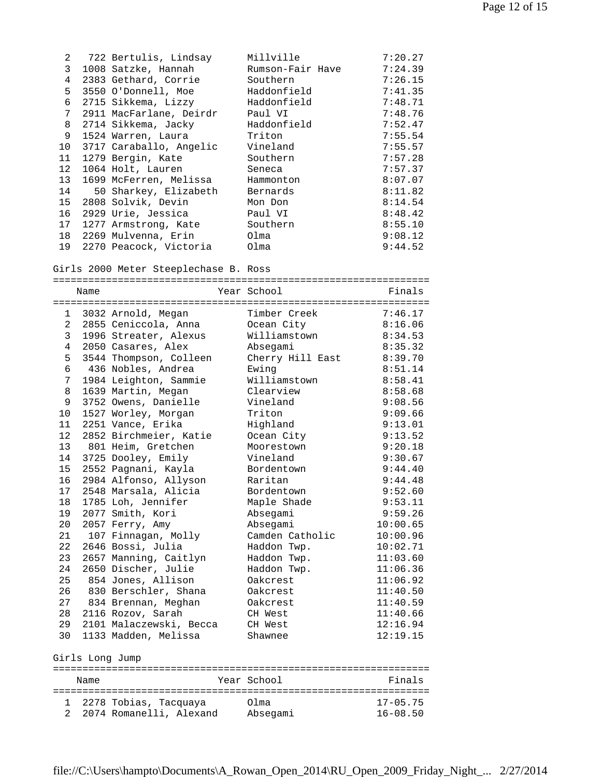| $\mathbf{2}$    | 722 Bertulis, Lindsay   | Millville        | 7:20.27 |
|-----------------|-------------------------|------------------|---------|
| 3               | 1008 Satzke, Hannah     | Rumson-Fair Have | 7:24.39 |
| $\overline{4}$  | 2383 Gethard, Corrie    | Southern         | 7:26.15 |
| 5               | 3550 O'Donnell, Moe     | Haddonfield      | 7:41.35 |
| 6               | 2715 Sikkema, Lizzy     | Haddonfield      | 7:48.71 |
| $7\phantom{.}$  | 2911 MacFarlane, Deirdr | Paul VI          | 7:48.76 |
| 8               | 2714 Sikkema, Jacky     | Haddonfield      | 7:52.47 |
| 9               | 1524 Warren, Laura      | Triton           | 7:55.54 |
| 10              | 3717 Caraballo, Angelic | Vineland         | 7:55.57 |
| 11              | 1279 Bergin, Kate       | Southern         | 7:57.28 |
| 12 <sup>°</sup> | 1064 Holt, Lauren       | Seneca           | 7:57.37 |
| 13              | 1699 McFerren, Melissa  | Hammonton        | 8:07.07 |
| 14              | 50 Sharkey, Elizabeth   | Bernards         | 8:11.82 |
| 15              | 2808 Solvik, Devin      | Mon Don          | 8:14.54 |
| 16              | 2929 Urie, Jessica      | Paul VI          | 8:48.42 |
| 17              | 1277 Armstrong, Kate    | Southern         | 8:55.10 |
| 18              | 2269 Mulvenna, Erin     | Olma             | 9:08.12 |
| 19              | 2270 Peacock, Victoria  | Olma             | 9:44.52 |

## Girls 2000 Meter Steeplechase B. Ross

|                    | Name            |                         | Year School      | Finals       |  |  |  |
|--------------------|-----------------|-------------------------|------------------|--------------|--|--|--|
|                    |                 |                         |                  |              |  |  |  |
| 1                  |                 | 3032 Arnold, Megan      | Timber Creek     | 7:46.17      |  |  |  |
| $\overline{a}$     |                 | 2855 Ceniccola, Anna    | Ocean City       | 8:16.06      |  |  |  |
| 3                  |                 | 1996 Streater, Alexus   | Williamstown     | 8:34.53      |  |  |  |
| 4                  |                 | 2050 Casares, Alex      | Absegami         | 8:35.32      |  |  |  |
| 5                  |                 | 3544 Thompson, Colleen  | Cherry Hill East | 8:39.70      |  |  |  |
| 6                  |                 | 436 Nobles, Andrea      | Ewing            | 8:51.14      |  |  |  |
| 7                  |                 | 1984 Leighton, Sammie   | Williamstown     | 8:58.41      |  |  |  |
| 8                  |                 | 1639 Martin, Megan      | Clearview        | 8:58.68      |  |  |  |
| 9                  |                 | 3752 Owens, Danielle    | Vineland         | 9:08.56      |  |  |  |
| 10                 |                 | 1527 Worley, Morgan     | Triton           | 9:09.66      |  |  |  |
| 11                 |                 | 2251 Vance, Erika       | Highland         | 9:13.01      |  |  |  |
| 12                 |                 | 2852 Birchmeier, Katie  | Ocean City       | 9:13.52      |  |  |  |
| 13                 |                 | 801 Heim, Gretchen      | Moorestown       | 9:20.18      |  |  |  |
| 14                 |                 | 3725 Dooley, Emily      | Vineland         | 9:30.67      |  |  |  |
| 15                 |                 | 2552 Pagnani, Kayla     | Bordentown       | 9:44.40      |  |  |  |
| 16                 |                 | 2984 Alfonso, Allyson   | Raritan          | 9:44.48      |  |  |  |
| 17                 |                 | 2548 Marsala, Alicia    | Bordentown       | 9:52.60      |  |  |  |
| 18                 |                 | 1785 Loh, Jennifer      | Maple Shade      | 9:53.11      |  |  |  |
| 19                 |                 | 2077 Smith, Kori        | Absegami         | 9:59.26      |  |  |  |
| 20                 |                 | 2057 Ferry, Amy         | Absegami         | 10:00.65     |  |  |  |
| 21                 |                 | 107 Finnagan, Molly     | Camden Catholic  | 10:00.96     |  |  |  |
| 22                 |                 | 2646 Bossi, Julia       | Haddon Twp.      | 10:02.71     |  |  |  |
| 23                 |                 | 2657 Manning, Caitlyn   | Haddon Twp.      | 11:03.60     |  |  |  |
| 24                 |                 | 2650 Discher, Julie     | Haddon Twp.      | 11:06.36     |  |  |  |
| 25                 |                 | 854 Jones, Allison      | Oakcrest         | 11:06.92     |  |  |  |
| 26                 |                 | 830 Berschler, Shana    | Oakcrest         | 11:40.50     |  |  |  |
| 27                 |                 | 834 Brennan, Meghan     | Oakcrest         | 11:40.59     |  |  |  |
| 28                 |                 | 2116 Rozov, Sarah       | CH West          | 11:40.66     |  |  |  |
| 29                 |                 | 2101 Malaczewski, Becca | CH West          | 12:16.94     |  |  |  |
| 30                 |                 | 1133 Madden, Melissa    | Shawnee          | 12:19.15     |  |  |  |
|                    | Girls Long Jump |                         |                  |              |  |  |  |
|                    | Name            |                         | Year School      | Finals       |  |  |  |
|                    |                 |                         |                  |              |  |  |  |
| 1<br>$\mathcal{L}$ |                 | 2278 Tobias, Tacquaya   | Olma             | $17 - 05.75$ |  |  |  |
|                    |                 | 2074 Romanelli, Alexand | Absegami         | $16 - 08.50$ |  |  |  |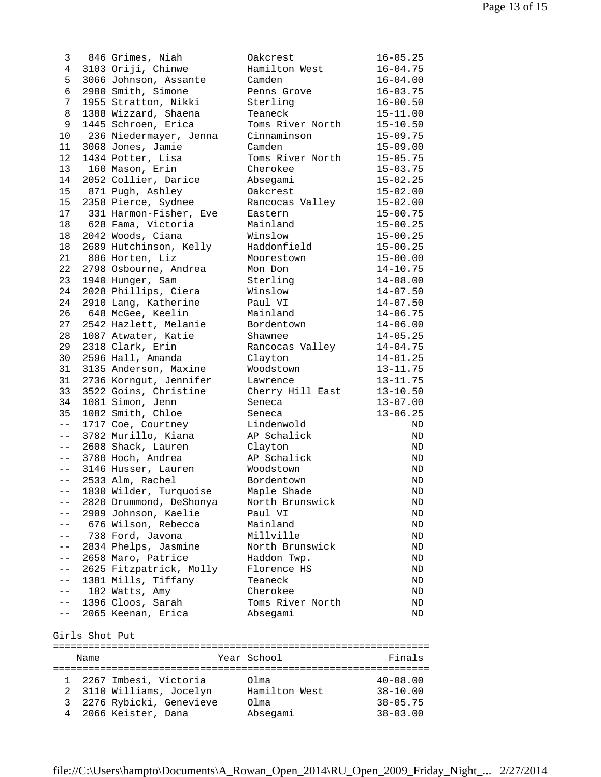3 846 Grimes, Niah Oakcrest 16-05.25 4 3103 Oriji, Chinwe Hamilton West 16-04.75 5 3066 Johnson, Assante Camden 16-04.00 6 2980 Smith, Simone Penns Grove 16-03.75 7 1955 Stratton, Nikki Sterling 16-00.50 8 1388 Wizzard, Shaena Teaneck 15-11.00 9 1445 Schroen, Erica Toms River North 15-10.50 10 236 Niedermayer, Jenna Cinnaminson 15-09.75 11 3068 Jones, Jamie Camden 15-09.00 12 1434 Potter, Lisa Toms River North 15-05.75 13 160 Mason, Erin Cherokee 15-03.75 14 2052 Collier, Darice Absegami 15-02.25 15 871 Pugh, Ashley Oakcrest 15-02.00 15 2358 Pierce, Sydnee Rancocas Valley 15-02.00 17 331 Harmon-Fisher, Eve Eastern 15-00.75 18 628 Fama, Victoria Mainland 15-00.25 18 2042 Woods, Ciana Winslow 15-00.25 18 2689 Hutchinson, Kelly Haddonfield 15-00.25 21 806 Horten, Liz Moorestown 15-00.00 22 2798 Osbourne, Andrea Mon Don 14-10.75 23 1940 Hunger, Sam Sterling 14-08.00 24 2028 Phillips, Ciera Winslow 14-07.50 24 2910 Lang, Katherine Paul VI 14-07.50 26 648 McGee, Keelin Mainland 14-06.75 27 2542 Hazlett, Melanie Bordentown 14-06.00 28 1087 Atwater, Katie Shawnee 14-05.25 29 2318 Clark, Erin Rancocas Valley 14-04.75 30 2596 Hall, Amanda Clayton 14-01.25 31 3135 Anderson, Maxine Woodstown 13-11.75 31 2736 Korngut, Jennifer Lawrence 13-11.75 33 3522 Goins, Christine Cherry Hill East 13-10.50 34 1081 Simon, Jenn Seneca 13-07.00 35 1082 Smith, Chloe Seneca 13-06.25 -- 1717 Coe, Courtney Lindenwold ND -- 3782 Murillo, Kiana AP Schalick ND -- 2608 Shack, Lauren Clayton ND -- 3780 Hoch, Andrea AP Schalick ND -- 3146 Husser, Lauren Woodstown ND -- 2533 Alm, Rachel Bordentown ND -- 1830 Wilder, Turquoise Maple Shade ND -- 2820 Drummond, DeShonya North Brunswick ND -- 2909 Johnson, Kaelie Paul VI ND -- 676 Wilson, Rebecca Mainland ND -- 738 Ford, Javona Millville ND -- 2834 Phelps, Jasmine North Brunswick ND -- 2658 Maro, Patrice Haddon Twp. ND -- 2625 Fitzpatrick, Molly Florence HS ND -- 1381 Mills, Tiffany Teaneck ND -- 182 Watts, Amy Cherokee ND -- 1396 Cloos, Sarah Toms River North ND -- 2065 Keenan, Erica Absegami ND Girls Shot Put

================================================================ Name Year School Finals ================================================================ 1 2267 Imbesi, Victoria Olma 40-08.00 2 3110 Williams, Jocelyn Hamilton West 38-10.00 3 2276 Rybicki, Genevieve Olma 38-05.75 4 2066 Keister, Dana Absegami 38-03.00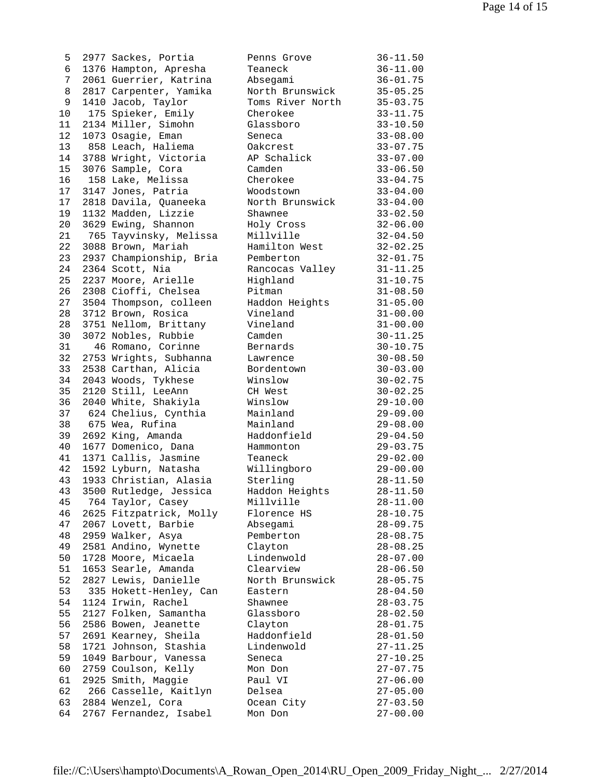| 5        | 2977 Sackes, Portia                       | Penns Grove          | $36 - 11.50$                 |
|----------|-------------------------------------------|----------------------|------------------------------|
| 6        | 1376 Hampton, Apresha                     | Teaneck              | $36 - 11.00$                 |
| 7        | 2061 Guerrier, Katrina                    | Absegami             | $36 - 01.75$                 |
| 8        | 2817 Carpenter, Yamika                    | North Brunswick      | $35 - 05.25$                 |
| 9        | 1410 Jacob, Taylor                        | Toms River North     | $35 - 03.75$                 |
| 10       | 175 Spieker, Emily                        | Cherokee             | $33 - 11.75$                 |
| 11       | 2134 Miller, Simohn                       | Glassboro            | $33 - 10.50$                 |
| 12       | 1073 Osagie, Eman                         | Seneca               | $33 - 08.00$                 |
| 13       | 858 Leach, Haliema                        | Oakcrest             | $33 - 07.75$                 |
| 14       | 3788 Wright, Victoria                     | AP Schalick          | $33 - 07.00$                 |
| 15       | 3076 Sample, Cora                         | Camden               | $33 - 06.50$                 |
| 16       | 158 Lake, Melissa                         | Cherokee             | $33 - 04.75$                 |
| 17       | 3147 Jones, Patria                        | Woodstown            | $33 - 04.00$                 |
| 17       | 2818 Davila, Quaneeka                     | North Brunswick      | $33 - 04.00$                 |
| 19       | 1132 Madden, Lizzie                       | Shawnee              | $33 - 02.50$                 |
| 20       | 3629 Ewing, Shannon                       | Holy Cross           | $32 - 06.00$                 |
| 21       | 765 Tayvinsky, Melissa                    | Millville            | $32 - 04.50$                 |
| 22       | 3088 Brown, Mariah                        | Hamilton West        | $32 - 02.25$                 |
| 23       | 2937 Championship, Bria                   | Pemberton            | $32 - 01.75$                 |
| 24       | 2364 Scott, Nia                           | Rancocas Valley      | $31 - 11.25$                 |
| 25       | 2237 Moore, Arielle                       | Highland             | $31 - 10.75$                 |
| 26       | 2308 Cioffi, Chelsea                      | Pitman               | $31 - 08.50$                 |
| 27       | 3504 Thompson, colleen                    | Haddon Heights       | $31 - 05.00$                 |
| 28       | 3712 Brown, Rosica                        | Vineland             | $31 - 00.00$                 |
| 28       | 3751 Nellom, Brittany                     | Vineland             | $31 - 00.00$                 |
| 30       | 3072 Nobles, Rubbie                       | Camden               | $30 - 11.25$                 |
| 31       | 46 Romano, Corinne                        | Bernards             | $30 - 10.75$                 |
| 32       | 2753 Wrights, Subhanna                    | Lawrence             | $30 - 08.50$                 |
| 33       | 2538 Carthan, Alicia                      | Bordentown           | $30 - 03.00$                 |
| 34       | 2043 Woods, Tykhese                       | Winslow              | $30 - 02.75$                 |
| 35       | 2120 Still, LeeAnn                        | CH West              | $30 - 02.25$                 |
| 36       | 2040 White, Shakiyla                      | Winslow              | $29 - 10.00$                 |
| 37       | 624 Chelius, Cynthia                      | Mainland             | $29 - 09.00$                 |
| 38       | 675 Wea, Rufina                           | Mainland             | $29 - 08.00$                 |
| 39       | 2692 King, Amanda                         | Haddonfield          | $29 - 04.50$                 |
| 40       | 1677 Domenico, Dana                       | Hammonton            | $29 - 03.75$                 |
| 41       | 1371 Callis, Jasmine                      | Teaneck              | $29 - 02.00$                 |
| 42       | 1592 Lyburn, Natasha                      | Willingboro          | $29 - 00.00$                 |
| 43       | 1933 Christian, Alasia                    | Sterling             | $28 - 11.50$                 |
| 43       | 3500 Rutledge, Jessica                    | Haddon Heights       | $28 - 11.50$                 |
| 45       | 764 Taylor, Casey                         | Millville            | $28 - 11.00$                 |
| 46       | 2625 Fitzpatrick, Molly                   | Florence HS          | $28 - 10.75$                 |
| 47<br>48 | 2067 Lovett, Barbie                       | Absegami             | $28 - 09.75$                 |
| 49       | 2959 Walker, Asya<br>2581 Andino, Wynette | Pemberton<br>Clayton | $28 - 08.75$<br>$28 - 08.25$ |
| 50       | 1728 Moore, Micaela                       | Lindenwold           |                              |
| 51       | 1653 Searle, Amanda                       | Clearview            | $28 - 07.00$<br>$28 - 06.50$ |
| 52       | 2827 Lewis, Danielle                      | North Brunswick      | $28 - 05.75$                 |
| 53       | 335 Hokett-Henley, Can                    |                      | $28 - 04.50$                 |
| 54       | 1124 Irwin, Rachel                        | Eastern<br>Shawnee   | $28 - 03.75$                 |
| 55       | 2127 Folken, Samantha                     | Glassboro            | $28 - 02.50$                 |
| 56       | 2586 Bowen, Jeanette                      | Clayton              | $28 - 01.75$                 |
| 57       | 2691 Kearney, Sheila                      | Haddonfield          | $28 - 01.50$                 |
| 58       | 1721 Johnson, Stashia                     | Lindenwold           | $27 - 11.25$                 |
| 59       | 1049 Barbour, Vanessa                     | Seneca               | $27 - 10.25$                 |
| 60       | 2759 Coulson, Kelly                       | Mon Don              | $27 - 07.75$                 |
| 61       | 2925 Smith, Maggie                        | Paul VI              | $27 - 06.00$                 |
| 62       | 266 Casselle, Kaitlyn                     | Delsea               | $27 - 05.00$                 |
| 63       | 2884 Wenzel, Cora                         | Ocean City           | $27 - 03.50$                 |
| 64       | 2767 Fernandez, Isabel                    | Mon Don              | $27 - 00.00$                 |
|          |                                           |                      |                              |